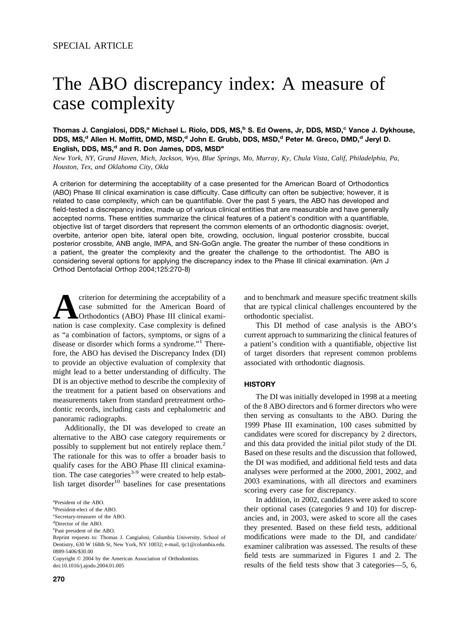# The ABO discrepancy index: A measure of case complexity

### **Thomas J. Cangialosi, DDS,a Michael L. Riolo, DDS, MS,b S. Ed Owens, Jr, DDS, MSD,c Vance J. Dykhouse,** DDS, MS,<sup>d</sup> Allen H. Moffitt, DMD, MSD,<sup>d</sup> John E. Grubb, DDS, MSD,<sup>d</sup> Peter M. Greco, DMD,<sup>d</sup> Jeryl D. English, DDS, MS,<sup>d</sup> and R. Don James, DDS, MSD<sup>e</sup>

*New York, NY, Grand Haven, Mich, Jackson, Wyo, Blue Springs, Mo, Murray, Ky, Chula Vista, Calif, Philadelphia, Pa, Houston, Tex, and Oklahoma City, Okla*

A criterion for determining the acceptability of a case presented for the American Board of Orthodontics (ABO) Phase III clinical examination is case difficulty. Case difficulty can often be subjective; however, it is related to case complexity, which can be quantifiable. Over the past 5 years, the ABO has developed and field-tested a discrepancy index, made up of various clinical entities that are measurable and have generally accepted norms. These entities summarize the clinical features of a patient's condition with a quantifiable, objective list of target disorders that represent the common elements of an orthodontic diagnosis: overjet, overbite, anterior open bite, lateral open bite, crowding, occlusion, lingual posterior crossbite, buccal posterior crossbite, ANB angle, IMPA, and SN-GoGn angle. The greater the number of these conditions in a patient, the greater the complexity and the greater the challenge to the orthodontist. The ABO is considering several options for applying the discrepancy index to the Phase III clinical examination. (Am J Orthod Dentofacial Orthop 2004;125:270-8)

criterion for determining the acceptability of a case submitted for the American Board of Orthodontics (ABO) Phase III clinical examination is case complexity. Case complexity is defined as "a combination of factors, symptoms, or signs of a disease or disorder which forms a syndrome."1 Therefore, the ABO has devised the Discrepancy Index (DI) to provide an objective evaluation of complexity that might lead to a better understanding of difficulty. The DI is an objective method to describe the complexity of the treatment for a patient based on observations and measurements taken from standard pretreatment orthodontic records, including casts and cephalometric and panoramic radiographs.

Additionally, the DI was developed to create an alternative to the ABO case category requirements or possibly to supplement but not entirely replace them.<sup>2</sup> The rationale for this was to offer a broader basis to qualify cases for the ABO Phase III clinical examination. The case categories $3-9$  were created to help establish target disorder<sup>10</sup> baselines for case presentations

Copyright © 2004 by the American Association of Orthodontists. doi:10.1016/j.ajodo.2004.01.005

and to benchmark and measure specific treatment skills that are typical clinical challenges encountered by the orthodontic specialist.

This DI method of case analysis is the ABO's current approach to summarizing the clinical features of a patient's condition with a quantifiable, objective list of target disorders that represent common problems associated with orthodontic diagnosis.

#### **HISTORY**

The DI was initially developed in 1998 at a meeting of the 8 ABO directors and 6 former directors who were then serving as consultants to the ABO. During the 1999 Phase III examination, 100 cases submitted by candidates were scored for discrepancy by 2 directors, and this data provided the initial pilot study of the DI. Based on these results and the discussion that followed, the DI was modified, and additional field tests and data analyses were performed at the 2000, 2001, 2002, and 2003 examinations, with all directors and examiners scoring every case for discrepancy.

In addition, in 2002, candidates were asked to score their optional cases (categories 9 and 10) for discrepancies and, in 2003, were asked to score all the cases they presented. Based on these field tests, additional modifications were made to the DI, and candidate/ examiner calibration was assessed. The results of these field tests are summarized in [Figures 1](#page-1-0) and [2.](#page-1-0) The results of the field tests show that 3 categories—5, 6,

a President of the ABO.

b President-elect of the ABO.

c Secretary-treasurer of the ABO.

d Director of the ABO.

e Past president of the ABO.

Reprint requests to: Thomas J. Cangialosi, Columbia University, School of Dentistry, 630 W 168th St, New York, NY 10032; e-mail, tjc1@columbia.edu. 0889-5406/\$30.00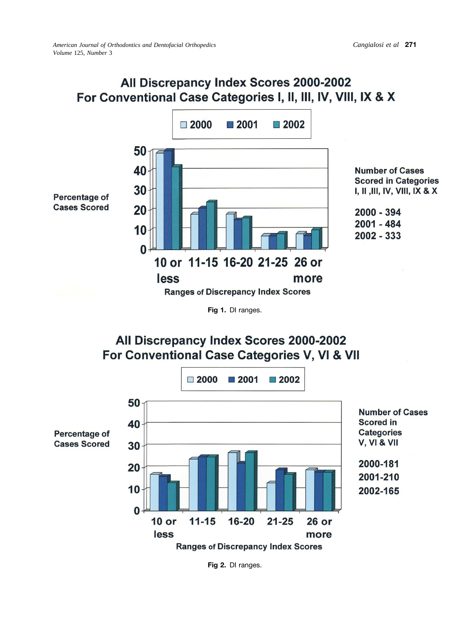# <span id="page-1-0"></span>All Discrepancy Index Scores 2000-2002 For Conventional Case Categories I, II, III, IV, VIII, IX & X



**Fig 1.** DI ranges.

## All Discrepancy Index Scores 2000-2002 For Conventional Case Categories V, VI & VII



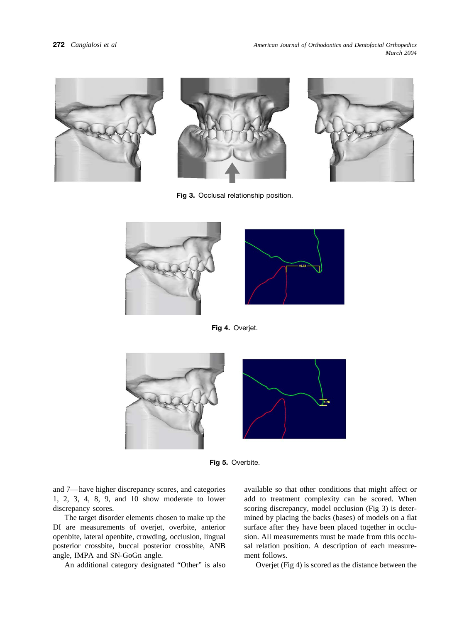<span id="page-2-0"></span>

**Fig 3.** Occlusal relationship position.







**Fig 4.** Overjet.



**Fig 5.** Overbite.

and 7—have higher discrepancy scores, and categories 1, 2, 3, 4, 8, 9, and 10 show moderate to lower discrepancy scores.

The target disorder elements chosen to make up the DI are measurements of overjet, overbite, anterior openbite, lateral openbite, crowding, occlusion, lingual posterior crossbite, buccal posterior crossbite, ANB angle, IMPA and SN-GoGn angle.

An additional category designated "Other" is also

available so that other conditions that might affect or add to treatment complexity can be scored. When scoring discrepancy, model occlusion (Fig 3) is determined by placing the backs (bases) of models on a flat surface after they have been placed together in occlusion. All measurements must be made from this occlusal relation position. A description of each measurement follows.

Overjet (Fig 4) is scored as the distance between the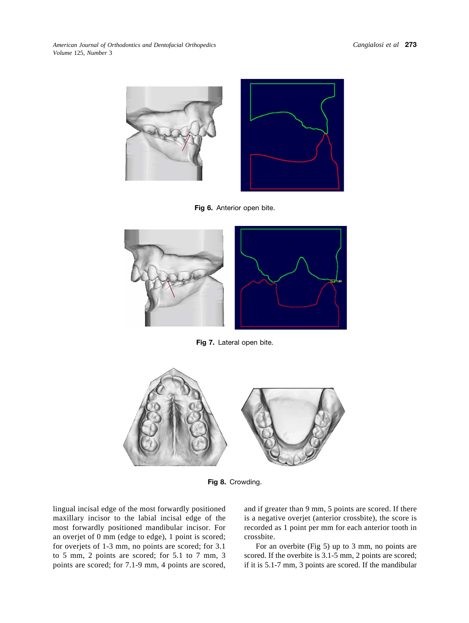<span id="page-3-0"></span>*American Journal of Orthodontics and Dentofacial Orthopedics Volume* 125, *Number* 3



**Fig 6.** Anterior open bite.



**Fig 7.** Lateral open bite.



**Fig 8.** Crowding.

lingual incisal edge of the most forwardly positioned maxillary incisor to the labial incisal edge of the most forwardly positioned mandibular incisor. For an overjet of 0 mm (edge to edge), 1 point is scored; for overjets of 1-3 mm, no points are scored; for 3.1 to 5 mm, 2 points are scored; for 5.1 to 7 mm, 3 points are scored; for 7.1-9 mm, 4 points are scored, and if greater than 9 mm, 5 points are scored. If there is a negative overjet (anterior crossbite), the score is recorded as 1 point per mm for each anterior tooth in crossbite.

For an overbite [\(Fig 5\)](#page-2-0) up to 3 mm, no points are scored. If the overbite is 3.1-5 mm, 2 points are scored; if it is 5.1-7 mm, 3 points are scored. If the mandibular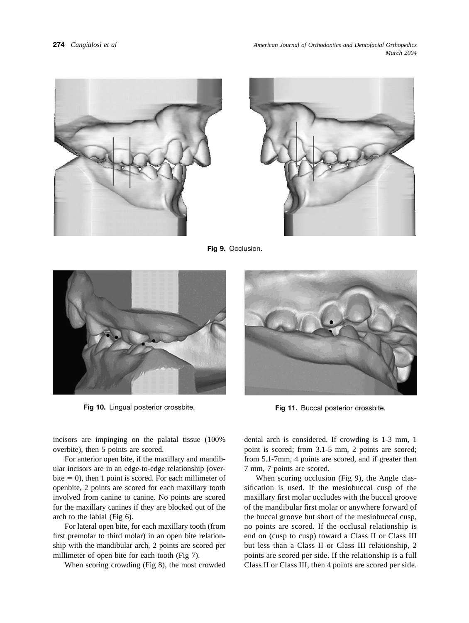<span id="page-4-0"></span>



**Fig 9.** Occlusion.





**Fig 10.** Lingual posterior crossbite. **Fig 11.** Buccal posterior crossbite.

incisors are impinging on the palatal tissue (100% overbite), then 5 points are scored.

For anterior open bite, if the maxillary and mandibular incisors are in an edge-to-edge relationship (overbite  $= 0$ ), then 1 point is scored. For each millimeter of openbite, 2 points are scored for each maxillary tooth involved from canine to canine. No points are scored for the maxillary canines if they are blocked out of the arch to the labial [\(Fig 6\)](#page-3-0).

For lateral open bite, for each maxillary tooth (from first premolar to third molar) in an open bite relationship with the mandibular arch, 2 points are scored per millimeter of open bite for each tooth [\(Fig 7\)](#page-3-0).

When scoring crowding [\(Fig 8\)](#page-3-0), the most crowded

dental arch is considered. If crowding is 1-3 mm, 1 point is scored; from 3.1-5 mm, 2 points are scored; from 5.1-7mm, 4 points are scored, and if greater than 7 mm, 7 points are scored.

When scoring occlusion (Fig 9), the Angle classification is used. If the mesiobuccal cusp of the maxillary first molar occludes with the buccal groove of the mandibular first molar or anywhere forward of the buccal groove but short of the mesiobuccal cusp, no points are scored. If the occlusal relationship is end on (cusp to cusp) toward a Class II or Class III but less than a Class II or Class III relationship, 2 points are scored per side. If the relationship is a full Class II or Class III, then 4 points are scored per side.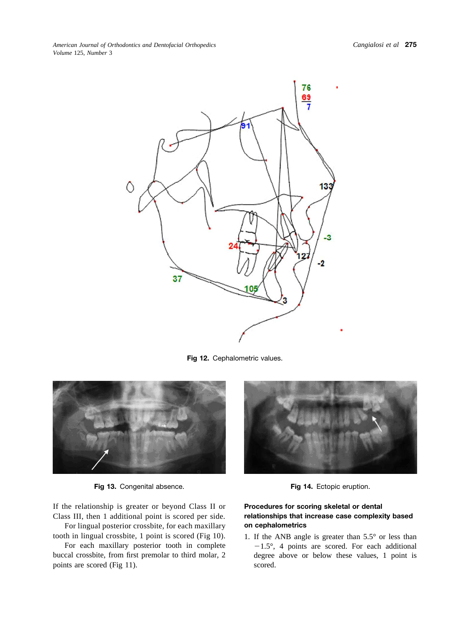<span id="page-5-0"></span>

**Fig 12.** Cephalometric values.



**Fig 13.** Congenital absence. **Fig 14.** Ectopic eruption.

If the relationship is greater or beyond Class II or Class III, then 1 additional point is scored per side.

For lingual posterior crossbite, for each maxillary tooth in lingual crossbite, 1 point is scored [\(Fig 10\)](#page-4-0).

For each maxillary posterior tooth in complete buccal crossbite, from first premolar to third molar, 2 points are scored [\(Fig 11\)](#page-4-0).



### **Procedures for scoring skeletal or dental relationships that increase case complexity based on cephalometrics**

1. If the ANB angle is greater than 5.5° or less than -1.5°, 4 points are scored. For each additional degree above or below these values, 1 point is scored.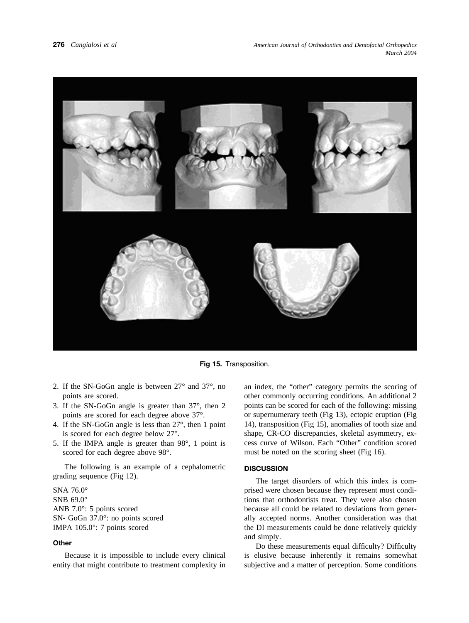

**Fig 15.** Transposition.

- 2. If the SN-GoGn angle is between 27° and 37°, no points are scored.
- 3. If the SN-GoGn angle is greater than 37°, then 2 points are scored for each degree above 37°.
- 4. If the SN-GoGn angle is less than 27°, then 1 point is scored for each degree below 27°.
- 5. If the IMPA angle is greater than 98°, 1 point is scored for each degree above 98°.

The following is an example of a cephalometric grading sequence [\(Fig 12\)](#page-5-0).

SNA 76.0° SNB 69.0° ANB 7.0°: 5 points scored SN- GoGn 37.0°: no points scored IMPA 105.0°: 7 points scored

### **Other**

Because it is impossible to include every clinical entity that might contribute to treatment complexity in an index, the "other" category permits the scoring of other commonly occurring conditions. An additional 2 points can be scored for each of the following: missing or supernumerary teeth [\(Fig 13\)](#page-5-0), ectopic eruption [\(Fig](#page-5-0) [14\)](#page-5-0), transposition (Fig 15), anomalies of tooth size and shape, CR-CO discrepancies, skeletal asymmetry, excess curve of Wilson. Each "Other" condition scored must be noted on the scoring sheet [\(Fig 16\)](#page-7-0).

### **DISCUSSION**

The target disorders of which this index is comprised were chosen because they represent most conditions that orthodontists treat. They were also chosen because all could be related to deviations from generally accepted norms. Another consideration was that the DI measurements could be done relatively quickly and simply.

Do these measurements equal difficulty? Difficulty is elusive because inherently it remains somewhat subjective and a matter of perception. Some conditions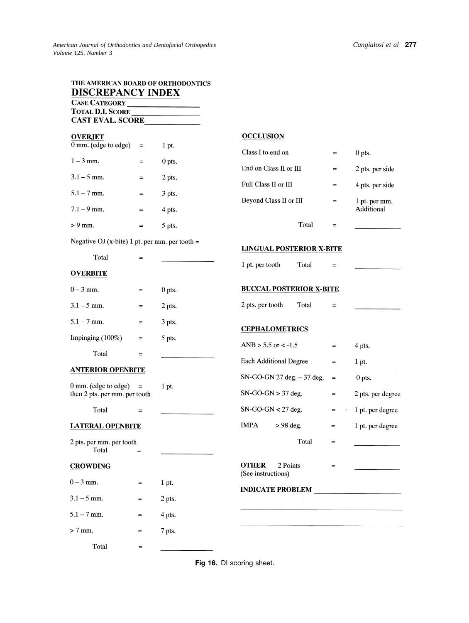<span id="page-7-0"></span>

| THE AMERICAN BOARD OF ORTHODONTICS<br><b>DISCREPANCY INDEX</b><br><b>CASE CATEGORY</b> |          |          |                                                |                   |                   |
|----------------------------------------------------------------------------------------|----------|----------|------------------------------------------------|-------------------|-------------------|
| <b>TOTAL D.I. SCORE</b>                                                                |          |          |                                                |                   |                   |
| <b>CAST EVAL. SCORE</b>                                                                |          |          |                                                |                   |                   |
| <b>OVERJET</b>                                                                         |          |          | <b>OCCLUSION</b>                               |                   |                   |
| 0 mm. (edge to edge)                                                                   | $\equiv$ | 1 pt.    | Class I to end on                              | $\equiv$          | $0$ pts.          |
| $1 - 3$ mm.                                                                            | $=$      | 0 pts.   | End on Class II or III                         | $=$               | 2 pts. per side   |
| $3.1 - 5$ mm.                                                                          | $=$      | 2 pts.   | Full Class II or III                           | $=$               | 4 pts. per side   |
| $5.1 - 7$ mm.                                                                          | $\equiv$ | 3 pts.   | Beyond Class II or III                         | $=$               | 1 pt. per mm.     |
| $7.1 - 9$ mm.                                                                          | $=$      | 4 pts.   |                                                |                   | Additional        |
| $> 9$ mm.                                                                              | $\equiv$ | 5 pts.   | Total                                          | $=$               |                   |
| Negative OJ (x-bite) 1 pt. per mm. per tooth =                                         |          |          |                                                |                   |                   |
| Total                                                                                  | $=$      |          | <b>LINGUAL POSTERIOR X-BITE</b>                |                   |                   |
| <b>OVERBITE</b>                                                                        |          |          | 1 pt. per tooth<br>Total                       | $=$               |                   |
| $0 - 3$ mm.                                                                            | $=$      | $0$ pts. | <b>BUCCAL POSTERIOR X-BITE</b>                 |                   |                   |
| $3.1 - 5$ mm.                                                                          | $\equiv$ | 2 pts.   | 2 pts. per tooth<br>Total                      | $=$               |                   |
| $5.1 - 7$ mm.                                                                          | $\equiv$ | 3 pts.   | <b>CEPHALOMETRICS</b>                          |                   |                   |
| Impinging $(100\%)$                                                                    | $=$      | 5 pts.   | ANB $> 5.5$ or $< -1.5$                        | $=$               | 4 pts.            |
| Total                                                                                  | $\equiv$ |          | <b>Each Additional Degree</b>                  | $\equiv$          | 1 pt.             |
| <b>ANTERIOR OPENBITE</b>                                                               |          |          |                                                |                   |                   |
| 0 mm. (edge to edge)<br>$\equiv$<br>then 2 pts. per mm. per tooth                      |          | 1 pt.    | SN-GO-GN 27 deg. - 37 deg.                     | $\qquad \qquad =$ | $0$ pts.          |
|                                                                                        |          |          | $SN-GO-GN > 37$ deg.                           | $=$               | 2 pts. per degree |
| Total                                                                                  | $=$      |          | $SN-GO-GN < 27$ deg.                           | $\equiv$          | 1 pt. per degree  |
| <b>LATERAL OPENBITE</b>                                                                |          |          | <b>IMPA</b><br>$> 98$ deg.                     | $=$               | 1 pt. per degree  |
| 2 pts. per mm. per tooth<br>Total                                                      | $=$      |          | Total                                          | $=$               |                   |
| <b>CROWDING</b>                                                                        |          |          | <b>OTHER</b><br>2 Points<br>(See instructions) | $=$               |                   |
| $0 - 3$ mm.                                                                            | $=$      | 1 pt.    | <b>INDICATE PROBLEM</b>                        |                   |                   |
| $3.1 - 5$ mm.                                                                          | $=$      | 2 pts.   |                                                |                   |                   |
| $5.1 - 7$ mm.                                                                          | $\equiv$ | 4 pts.   |                                                |                   |                   |
| $> 7$ mm.                                                                              | $=$      | 7 pts.   |                                                |                   |                   |
| Total                                                                                  | $=$      |          |                                                |                   |                   |

**Fig 16.** DI scoring sheet.